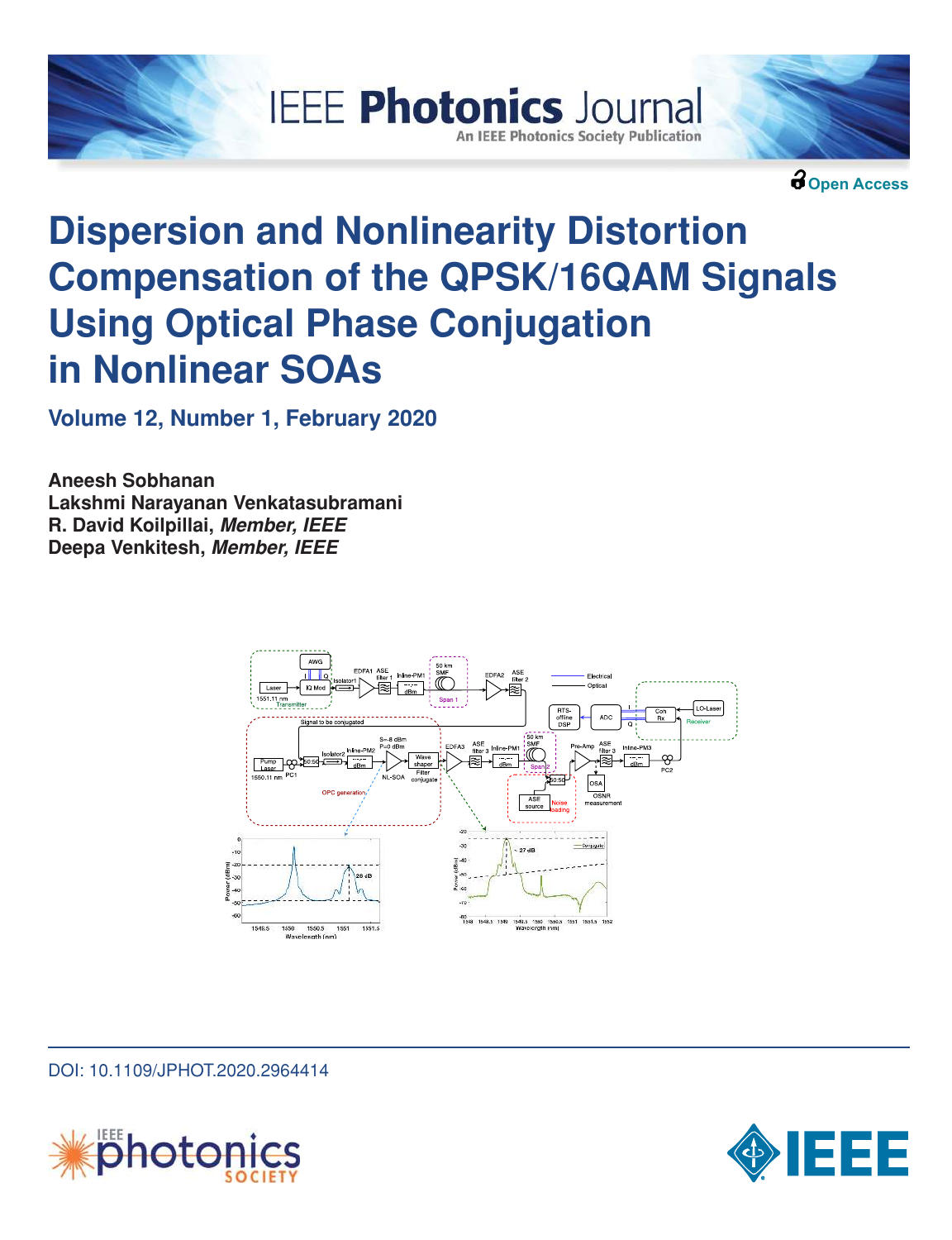



**Open Access**

# **Dispersion and Nonlinearity Distortion Compensation of the QPSK/16QAM Signals Using Optical Phase Conjugation in Nonlinear SOAs**

**Volume 12, Number 1, February 2020**

**Aneesh Sobhanan Lakshmi Narayanan Venkatasubramani R. David Koilpillai, Member, IEEE Deepa Venkitesh, Member, IEEE**



DOI: 10.1109/JPHOT.2020.2964414



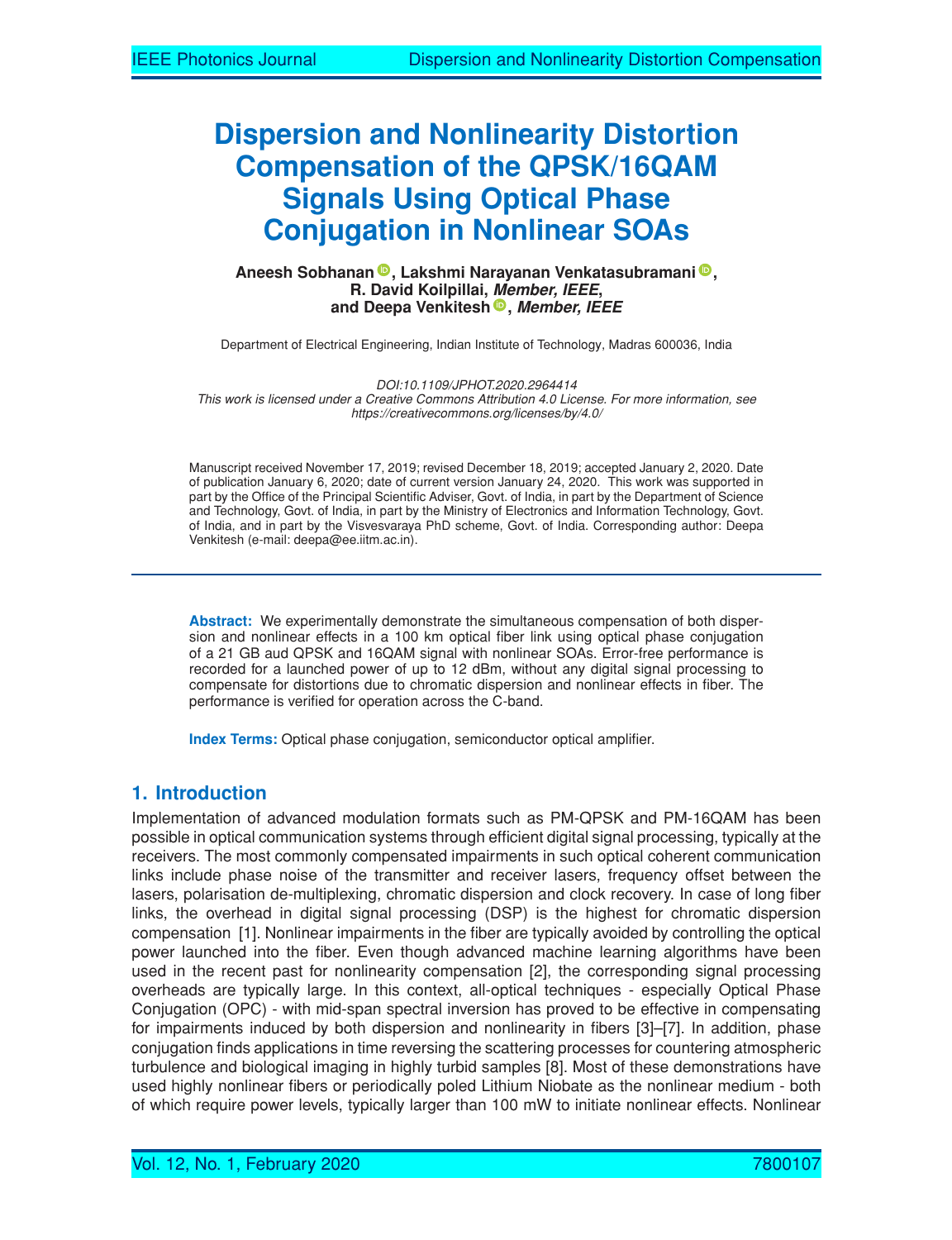# **Dispersion and Nonlinearity Distortion Compensation of the QPSK/16QAM Signals Using Optical Phase Conjugation in Nonlinear SOAs**

#### **Aneesh Sobhanan , Lakshmi Narayanan Venkatasubramani , R. David Koilpillai, Member, IEEE, and Deepa Venkitesh , Member, IEEE**

Department of Electrical Engineering, Indian Institute of Technology, Madras 600036, India

*DOI:10.1109/JPHOT.2020.2964414* This work is licensed under a Creative Commons Attribution 4.0 License. For more information, see *https://creativecommons.org/licenses/by/4.0/*

Manuscript received November 17, 2019; revised December 18, 2019; accepted January 2, 2020. Date of publication January 6, 2020; date of current version January 24, 2020. This work was supported in part by the Office of the Principal Scientific Adviser, Govt. of India, in part by the Department of Science and Technology, Govt. of India, in part by the Ministry of Electronics and Information Technology, Govt. of India, and in part by the Visvesvaraya PhD scheme, Govt. of India. Corresponding author: Deepa Venkitesh (e-mail: deepa@ee.iitm.ac.in).

**Abstract:** We experimentally demonstrate the simultaneous compensation of both dispersion and nonlinear effects in a 100 km optical fiber link using optical phase conjugation of a 21 GB aud QPSK and 16QAM signal with nonlinear SOAs. Error-free performance is recorded for a launched power of up to 12 dBm, without any digital signal processing to compensate for distortions due to chromatic dispersion and nonlinear effects in fiber. The performance is verified for operation across the C-band.

**Index Terms:** Optical phase conjugation, semiconductor optical amplifier.

## **1. Introduction**

Implementation of advanced modulation formats such as PM-QPSK and PM-16QAM has been possible in optical communication systems through efficient digital signal processing, typically at the receivers. The most commonly compensated impairments in such optical coherent communication links include phase noise of the transmitter and receiver lasers, frequency offset between the lasers, polarisation de-multiplexing, chromatic dispersion and clock recovery. In case of long fiber links, the overhead in digital signal processing (DSP) is the highest for chromatic dispersion compensation [1]. Nonlinear impairments in the fiber are typically avoided by controlling the optical power launched into the fiber. Even though advanced machine learning algorithms have been used in the recent past for nonlinearity compensation [2], the corresponding signal processing overheads are typically large. In this context, all-optical techniques - especially Optical Phase Conjugation (OPC) - with mid-span spectral inversion has proved to be effective in compensating for impairments induced by both dispersion and nonlinearity in fibers [3]–[7]. In addition, phase conjugation finds applications in time reversing the scattering processes for countering atmospheric turbulence and biological imaging in highly turbid samples [8]. Most of these demonstrations have used highly nonlinear fibers or periodically poled Lithium Niobate as the nonlinear medium - both of which require power levels, typically larger than 100 mW to initiate nonlinear effects. Nonlinear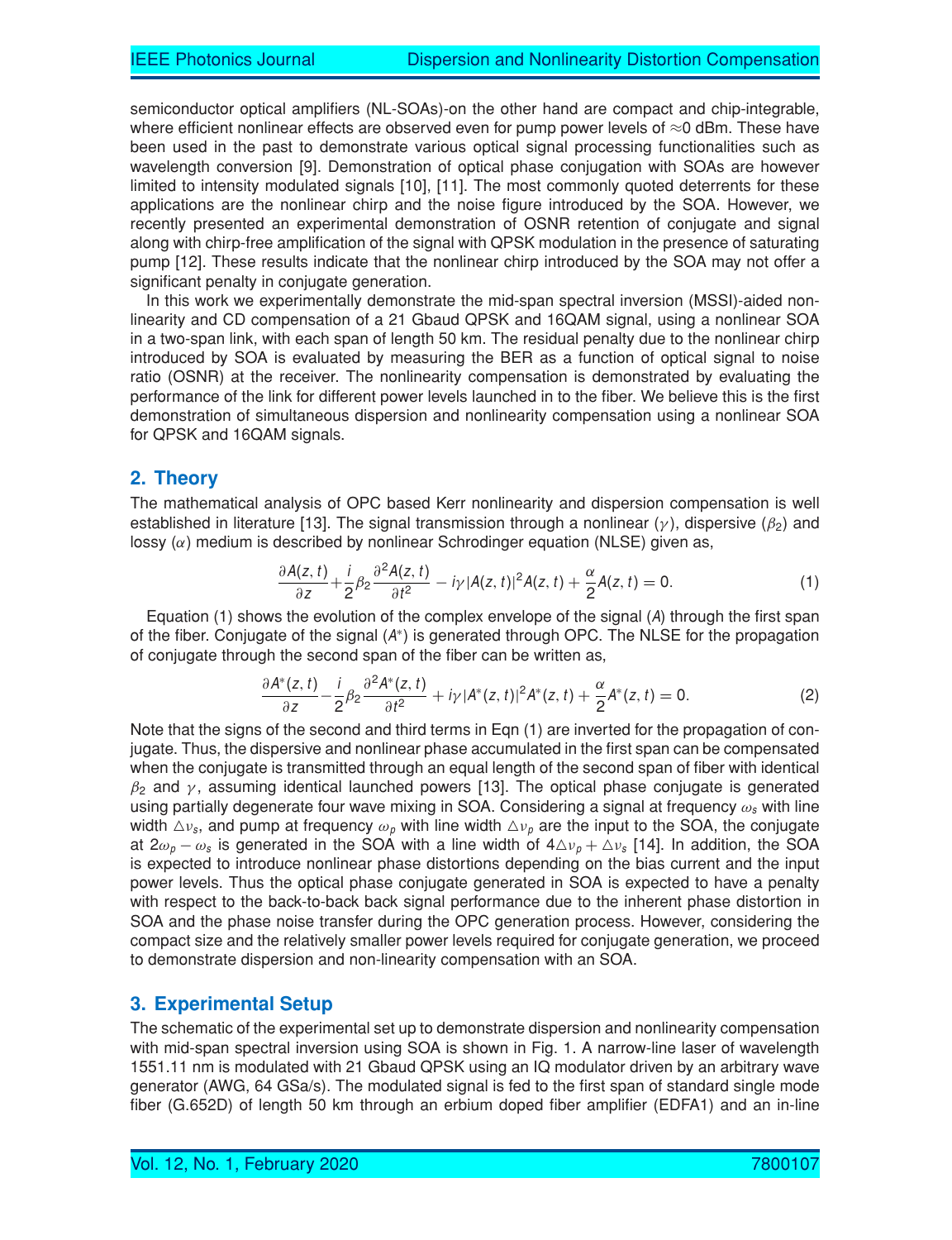semiconductor optical amplifiers (NL-SOAs)-on the other hand are compact and chip-integrable, where efficient nonlinear effects are observed even for pump power levels of  $\approx$ 0 dBm. These have been used in the past to demonstrate various optical signal processing functionalities such as wavelength conversion [9]. Demonstration of optical phase conjugation with SOAs are however limited to intensity modulated signals [10], [11]. The most commonly quoted deterrents for these applications are the nonlinear chirp and the noise figure introduced by the SOA. However, we recently presented an experimental demonstration of OSNR retention of conjugate and signal along with chirp-free amplification of the signal with QPSK modulation in the presence of saturating pump [12]. These results indicate that the nonlinear chirp introduced by the SOA may not offer a significant penalty in conjugate generation.

In this work we experimentally demonstrate the mid-span spectral inversion (MSSI)-aided nonlinearity and CD compensation of a 21 Gbaud QPSK and 16QAM signal, using a nonlinear SOA in a two-span link, with each span of length 50 km. The residual penalty due to the nonlinear chirp introduced by SOA is evaluated by measuring the BER as a function of optical signal to noise ratio (OSNR) at the receiver. The nonlinearity compensation is demonstrated by evaluating the performance of the link for different power levels launched in to the fiber. We believe this is the first demonstration of simultaneous dispersion and nonlinearity compensation using a nonlinear SOA for QPSK and 16QAM signals.

#### **2. Theory**

The mathematical analysis of OPC based Kerr nonlinearity and dispersion compensation is well established in literature [13]. The signal transmission through a nonlinear ( $\gamma$ ), dispersive ( $\beta_2$ ) and lossy  $(\alpha)$  medium is described by nonlinear Schrodinger equation (NLSE) given as,

$$
\frac{\partial A(z,t)}{\partial z} + \frac{i}{2} \beta_2 \frac{\partial^2 A(z,t)}{\partial t^2} - i \gamma |A(z,t)|^2 A(z,t) + \frac{\alpha}{2} A(z,t) = 0. \tag{1}
$$

Equation (1) shows the evolution of the complex envelope of the signal (A) through the first span of the fiber. Conjugate of the signal (A\*) is generated through OPC. The NLSE for the propagation of conjugate through the second span of the fiber can be written as,

$$
\frac{\partial A^*(z,t)}{\partial z} - \frac{i}{2}\beta_2 \frac{\partial^2 A^*(z,t)}{\partial t^2} + i\gamma |A^*(z,t)|^2 A^*(z,t) + \frac{\alpha}{2}A^*(z,t) = 0.
$$
 (2)

Note that the signs of the second and third terms in Eqn (1) are inverted for the propagation of conjugate. Thus, the dispersive and nonlinear phase accumulated in the first span can be compensated when the conjugate is transmitted through an equal length of the second span of fiber with identical  $\beta_2$  and  $\gamma$ , assuming identical launched powers [13]. The optical phase conjugate is generated using partially degenerate four wave mixing in SOA. Considering a signal at frequency  $\omega_s$  with line width  $\triangle\nu_s$ , and pump at frequency  $\omega_\rho$  with line width  $\triangle\nu_\rho$  are the input to the SOA, the conjugate at 2 $\omega_p - \omega_s$  is generated in the SOA with a line width of  $4\Delta\nu_p + \Delta\nu_s$  [14]. In addition, the SOA is expected to introduce nonlinear phase distortions depending on the bias current and the input power levels. Thus the optical phase conjugate generated in SOA is expected to have a penalty with respect to the back-to-back back signal performance due to the inherent phase distortion in SOA and the phase noise transfer during the OPC generation process. However, considering the compact size and the relatively smaller power levels required for conjugate generation, we proceed to demonstrate dispersion and non-linearity compensation with an SOA.

#### **3. Experimental Setup**

The schematic of the experimental set up to demonstrate dispersion and nonlinearity compensation with mid-span spectral inversion using SOA is shown in Fig. 1. A narrow-line laser of wavelength 1551.11 nm is modulated with 21 Gbaud QPSK using an IQ modulator driven by an arbitrary wave generator (AWG, 64 GSa/s). The modulated signal is fed to the first span of standard single mode fiber (G.652D) of length 50 km through an erbium doped fiber amplifier (EDFA1) and an in-line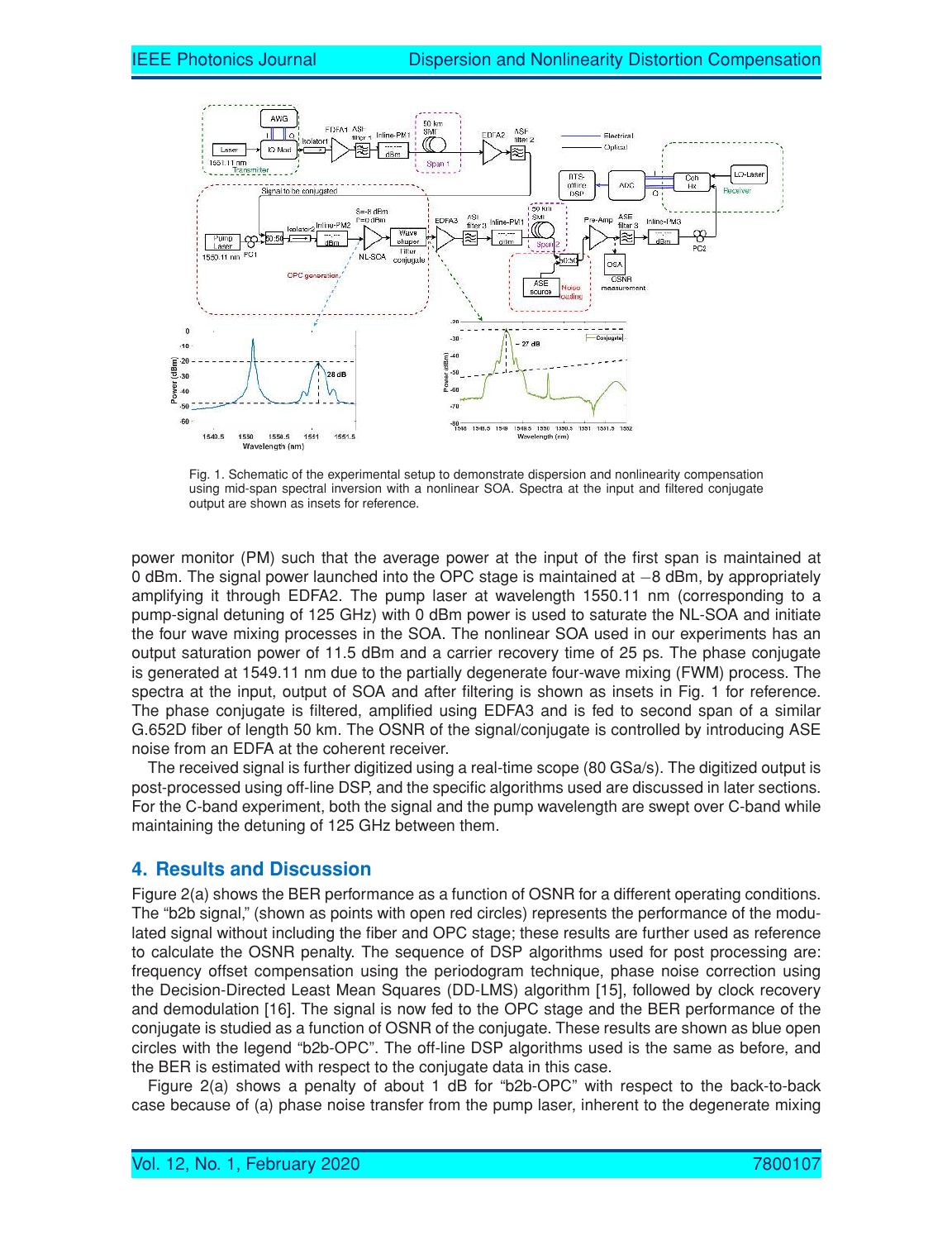

Fig. 1. Schematic of the experimental setup to demonstrate dispersion and nonlinearity compensation using mid-span spectral inversion with a nonlinear SOA. Spectra at the input and filtered conjugate output are shown as insets for reference.

power monitor (PM) such that the average power at the input of the first span is maintained at 0 dBm. The signal power launched into the OPC stage is maintained at −8 dBm, by appropriately amplifying it through EDFA2. The pump laser at wavelength 1550.11 nm (corresponding to a pump-signal detuning of 125 GHz) with 0 dBm power is used to saturate the NL-SOA and initiate the four wave mixing processes in the SOA. The nonlinear SOA used in our experiments has an output saturation power of 11.5 dBm and a carrier recovery time of 25 ps. The phase conjugate is generated at 1549.11 nm due to the partially degenerate four-wave mixing (FWM) process. The spectra at the input, output of SOA and after filtering is shown as insets in Fig. 1 for reference. The phase conjugate is filtered, amplified using EDFA3 and is fed to second span of a similar G.652D fiber of length 50 km. The OSNR of the signal/conjugate is controlled by introducing ASE noise from an EDFA at the coherent receiver.

The received signal is further digitized using a real-time scope (80 GSa/s). The digitized output is post-processed using off-line DSP, and the specific algorithms used are discussed in later sections. For the C-band experiment, both the signal and the pump wavelength are swept over C-band while maintaining the detuning of 125 GHz between them.

## **4. Results and Discussion**

Figure 2(a) shows the BER performance as a function of OSNR for a different operating conditions. The "b2b signal," (shown as points with open red circles) represents the performance of the modulated signal without including the fiber and OPC stage; these results are further used as reference to calculate the OSNR penalty. The sequence of DSP algorithms used for post processing are: frequency offset compensation using the periodogram technique, phase noise correction using the Decision-Directed Least Mean Squares (DD-LMS) algorithm [15], followed by clock recovery and demodulation [16]. The signal is now fed to the OPC stage and the BER performance of the conjugate is studied as a function of OSNR of the conjugate. These results are shown as blue open circles with the legend "b2b-OPC". The off-line DSP algorithms used is the same as before, and the BER is estimated with respect to the conjugate data in this case.

Figure 2(a) shows a penalty of about 1 dB for "b2b-OPC" with respect to the back-to-back case because of (a) phase noise transfer from the pump laser, inherent to the degenerate mixing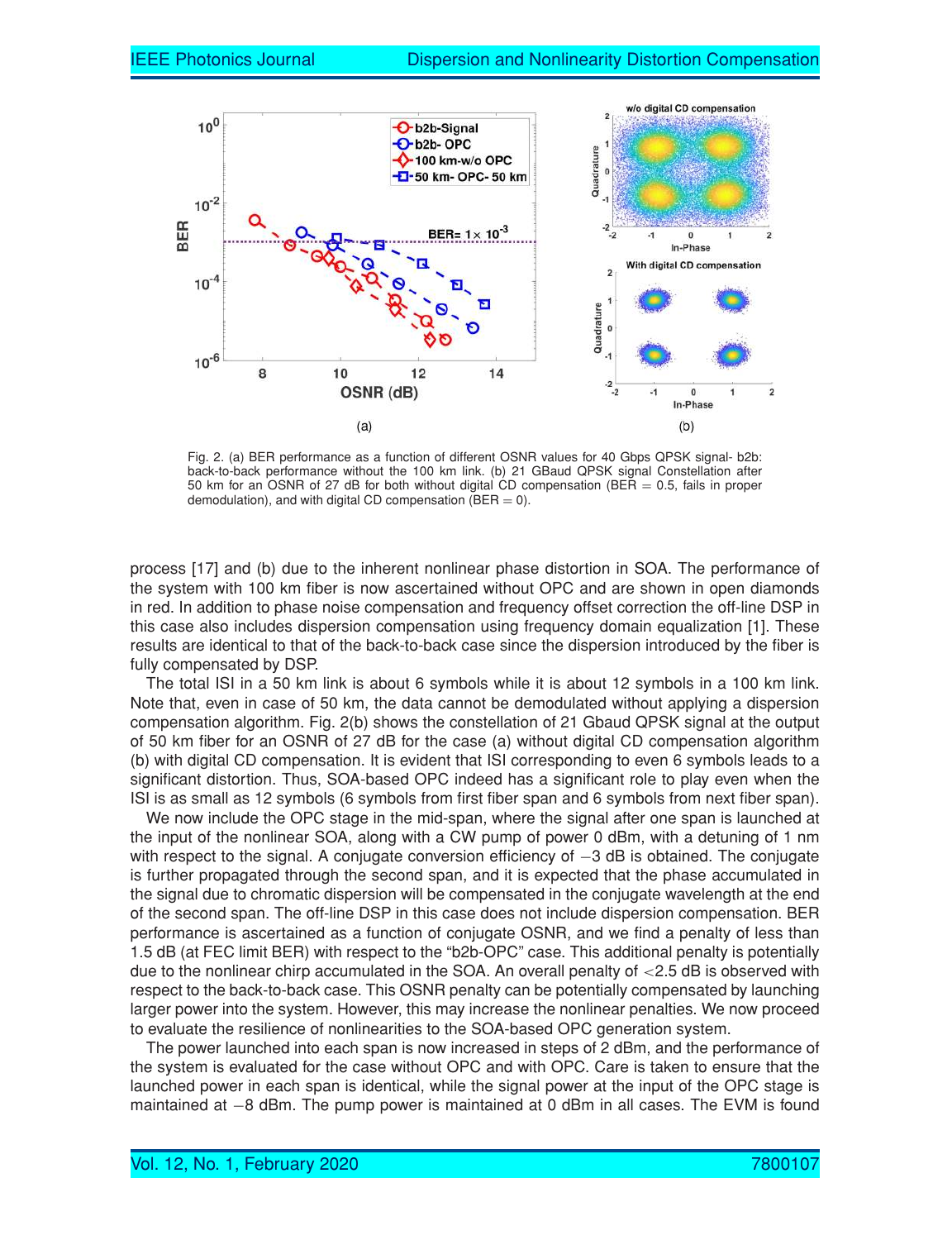

Fig. 2. (a) BER performance as a function of different OSNR values for 40 Gbps QPSK signal- b2b: back-to-back performance without the 100 km link. (b) 21 GBaud QPSK signal Constellation after 50 km for an OSNR of 27 dB for both without digital CD compensation (BER  $= 0.5$ , fails in proper demodulation), and with digital CD compensation ( $BER = 0$ ).

process [17] and (b) due to the inherent nonlinear phase distortion in SOA. The performance of the system with 100 km fiber is now ascertained without OPC and are shown in open diamonds in red. In addition to phase noise compensation and frequency offset correction the off-line DSP in this case also includes dispersion compensation using frequency domain equalization [1]. These results are identical to that of the back-to-back case since the dispersion introduced by the fiber is fully compensated by DSP.

The total ISI in a 50 km link is about 6 symbols while it is about 12 symbols in a 100 km link. Note that, even in case of 50 km, the data cannot be demodulated without applying a dispersion compensation algorithm. Fig. 2(b) shows the constellation of 21 Gbaud QPSK signal at the output of 50 km fiber for an OSNR of 27 dB for the case (a) without digital CD compensation algorithm (b) with digital CD compensation. It is evident that ISI corresponding to even 6 symbols leads to a significant distortion. Thus, SOA-based OPC indeed has a significant role to play even when the ISI is as small as 12 symbols (6 symbols from first fiber span and 6 symbols from next fiber span).

We now include the OPC stage in the mid-span, where the signal after one span is launched at the input of the nonlinear SOA, along with a CW pump of power 0 dBm, with a detuning of 1 nm with respect to the signal. A conjugate conversion efficiency of -3 dB is obtained. The conjugate is further propagated through the second span, and it is expected that the phase accumulated in the signal due to chromatic dispersion will be compensated in the conjugate wavelength at the end of the second span. The off-line DSP in this case does not include dispersion compensation. BER performance is ascertained as a function of conjugate OSNR, and we find a penalty of less than 1.5 dB (at FEC limit BER) with respect to the "b2b-OPC" case. This additional penalty is potentially due to the nonlinear chirp accumulated in the SOA. An overall penalty of  $<$ 2.5 dB is observed with respect to the back-to-back case. This OSNR penalty can be potentially compensated by launching larger power into the system. However, this may increase the nonlinear penalties. We now proceed to evaluate the resilience of nonlinearities to the SOA-based OPC generation system.

The power launched into each span is now increased in steps of 2 dBm, and the performance of the system is evaluated for the case without OPC and with OPC. Care is taken to ensure that the launched power in each span is identical, while the signal power at the input of the OPC stage is maintained at −8 dBm. The pump power is maintained at 0 dBm in all cases. The EVM is found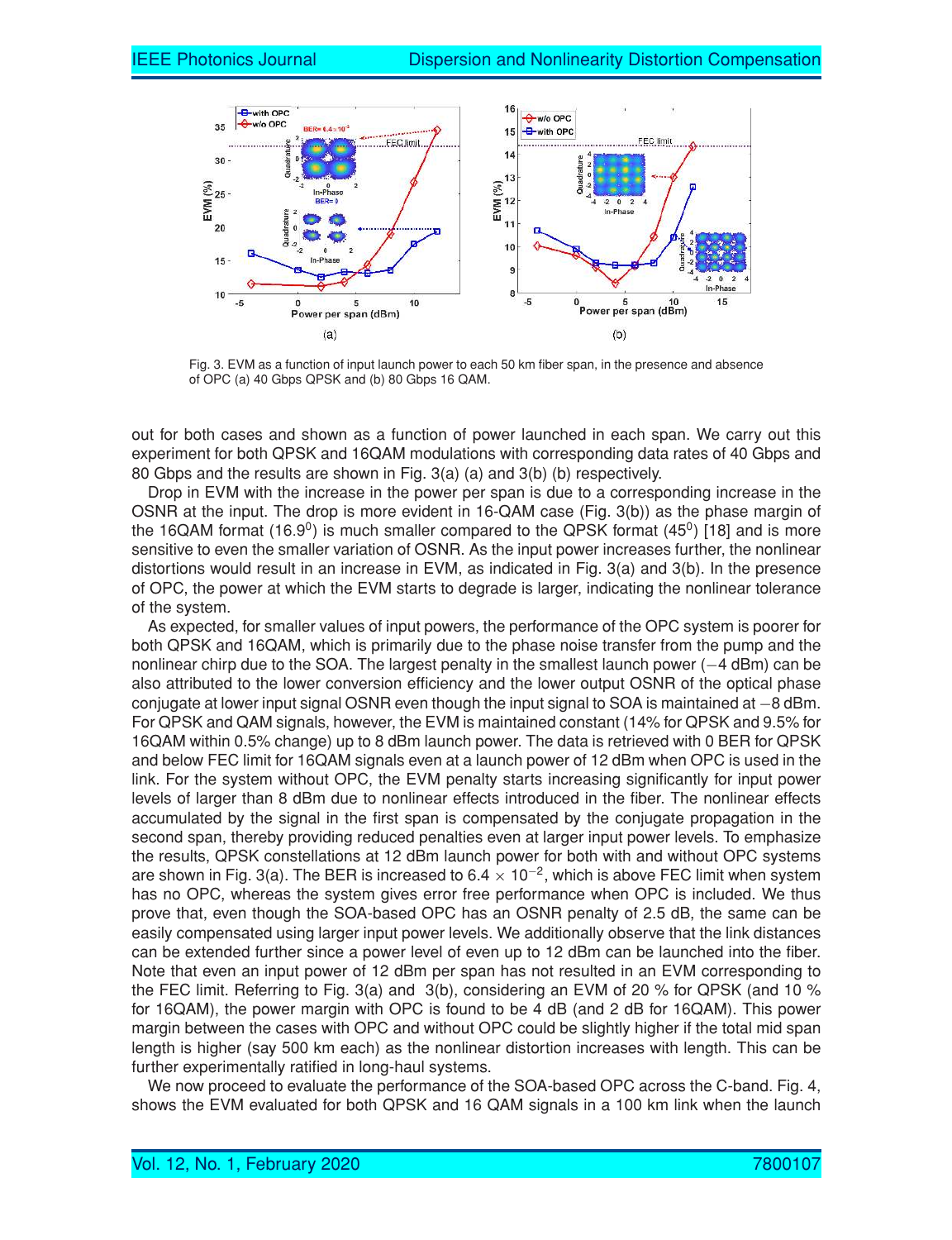

Fig. 3. EVM as a function of input launch power to each 50 km fiber span, in the presence and absence of OPC (a) 40 Gbps QPSK and (b) 80 Gbps 16 QAM.

out for both cases and shown as a function of power launched in each span. We carry out this experiment for both QPSK and 16QAM modulations with corresponding data rates of 40 Gbps and 80 Gbps and the results are shown in Fig. 3(a) (a) and 3(b) (b) respectively.

Drop in EVM with the increase in the power per span is due to a corresponding increase in the OSNR at the input. The drop is more evident in 16-QAM case (Fig. 3(b)) as the phase margin of the 16QAM format (16.9<sup>0</sup>) is much smaller compared to the QPSK format (45<sup>0</sup>) [18] and is more sensitive to even the smaller variation of OSNR. As the input power increases further, the nonlinear distortions would result in an increase in EVM, as indicated in Fig. 3(a) and 3(b). In the presence of OPC, the power at which the EVM starts to degrade is larger, indicating the nonlinear tolerance of the system.

As expected, for smaller values of input powers, the performance of the OPC system is poorer for both QPSK and 16QAM, which is primarily due to the phase noise transfer from the pump and the nonlinear chirp due to the SOA. The largest penalty in the smallest launch power (−4 dBm) can be also attributed to the lower conversion efficiency and the lower output OSNR of the optical phase conjugate at lower input signal OSNR even though the input signal to SOA is maintained at −8 dBm. For QPSK and QAM signals, however, the EVM is maintained constant (14% for QPSK and 9.5% for 16QAM within 0.5% change) up to 8 dBm launch power. The data is retrieved with 0 BER for QPSK and below FEC limit for 16QAM signals even at a launch power of 12 dBm when OPC is used in the link. For the system without OPC, the EVM penalty starts increasing significantly for input power levels of larger than 8 dBm due to nonlinear effects introduced in the fiber. The nonlinear effects accumulated by the signal in the first span is compensated by the conjugate propagation in the second span, thereby providing reduced penalties even at larger input power levels. To emphasize the results, QPSK constellations at 12 dBm launch power for both with and without OPC systems are shown in Fig. 3(a). The BER is increased to 6.4  $\times$  10<sup>-2</sup>, which is above FEC limit when system has no OPC, whereas the system gives error free performance when OPC is included. We thus prove that, even though the SOA-based OPC has an OSNR penalty of 2.5 dB, the same can be easily compensated using larger input power levels. We additionally observe that the link distances can be extended further since a power level of even up to 12 dBm can be launched into the fiber. Note that even an input power of 12 dBm per span has not resulted in an EVM corresponding to the FEC limit. Referring to Fig. 3(a) and 3(b), considering an EVM of 20 % for QPSK (and 10 % for 16QAM), the power margin with OPC is found to be 4 dB (and 2 dB for 16QAM). This power margin between the cases with OPC and without OPC could be slightly higher if the total mid span length is higher (say 500 km each) as the nonlinear distortion increases with length. This can be further experimentally ratified in long-haul systems.

We now proceed to evaluate the performance of the SOA-based OPC across the C-band. Fig. 4, shows the EVM evaluated for both QPSK and 16 QAM signals in a 100 km link when the launch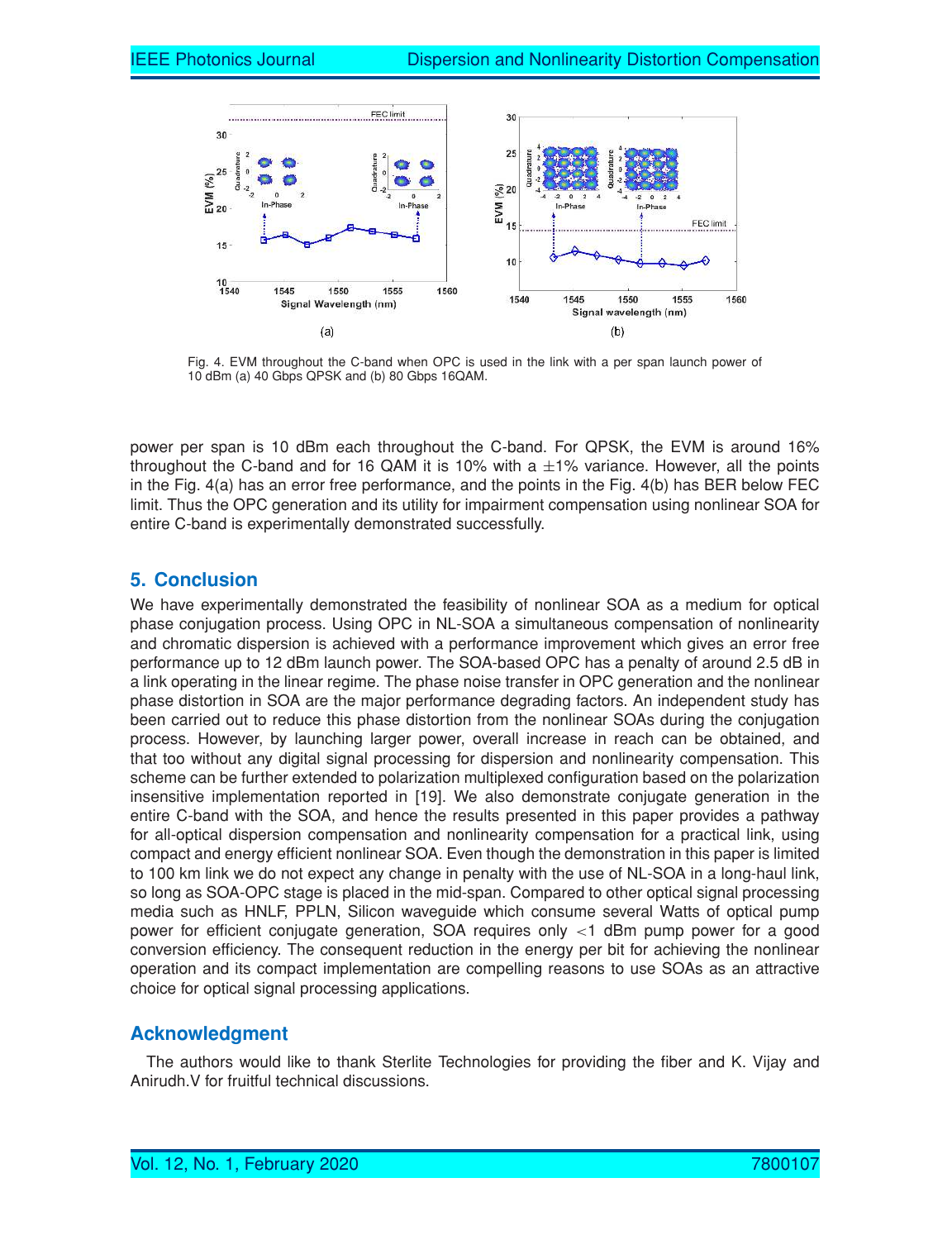

Fig. 4. EVM throughout the C-band when OPC is used in the link with a per span launch power of 10 dBm (a) 40 Gbps QPSK and (b) 80 Gbps 16QAM.

power per span is 10 dBm each throughout the C-band. For QPSK, the EVM is around 16% throughout the C-band and for 16 QAM it is 10% with a  $\pm$ 1% variance. However, all the points in the Fig. 4(a) has an error free performance, and the points in the Fig. 4(b) has BER below FEC limit. Thus the OPC generation and its utility for impairment compensation using nonlinear SOA for entire C-band is experimentally demonstrated successfully.

## **5. Conclusion**

We have experimentally demonstrated the feasibility of nonlinear SOA as a medium for optical phase conjugation process. Using OPC in NL-SOA a simultaneous compensation of nonlinearity and chromatic dispersion is achieved with a performance improvement which gives an error free performance up to 12 dBm launch power. The SOA-based OPC has a penalty of around 2.5 dB in a link operating in the linear regime. The phase noise transfer in OPC generation and the nonlinear phase distortion in SOA are the major performance degrading factors. An independent study has been carried out to reduce this phase distortion from the nonlinear SOAs during the conjugation process. However, by launching larger power, overall increase in reach can be obtained, and that too without any digital signal processing for dispersion and nonlinearity compensation. This scheme can be further extended to polarization multiplexed configuration based on the polarization insensitive implementation reported in [19]. We also demonstrate conjugate generation in the entire C-band with the SOA, and hence the results presented in this paper provides a pathway for all-optical dispersion compensation and nonlinearity compensation for a practical link, using compact and energy efficient nonlinear SOA. Even though the demonstration in this paper is limited to 100 km link we do not expect any change in penalty with the use of NL-SOA in a long-haul link, so long as SOA-OPC stage is placed in the mid-span. Compared to other optical signal processing media such as HNLF, PPLN, Silicon waveguide which consume several Watts of optical pump power for efficient conjugate generation, SOA requires only <1 dBm pump power for a good conversion efficiency. The consequent reduction in the energy per bit for achieving the nonlinear operation and its compact implementation are compelling reasons to use SOAs as an attractive choice for optical signal processing applications.

#### **Acknowledgment**

The authors would like to thank Sterlite Technologies for providing the fiber and K. Vijay and Anirudh.V for fruitful technical discussions.